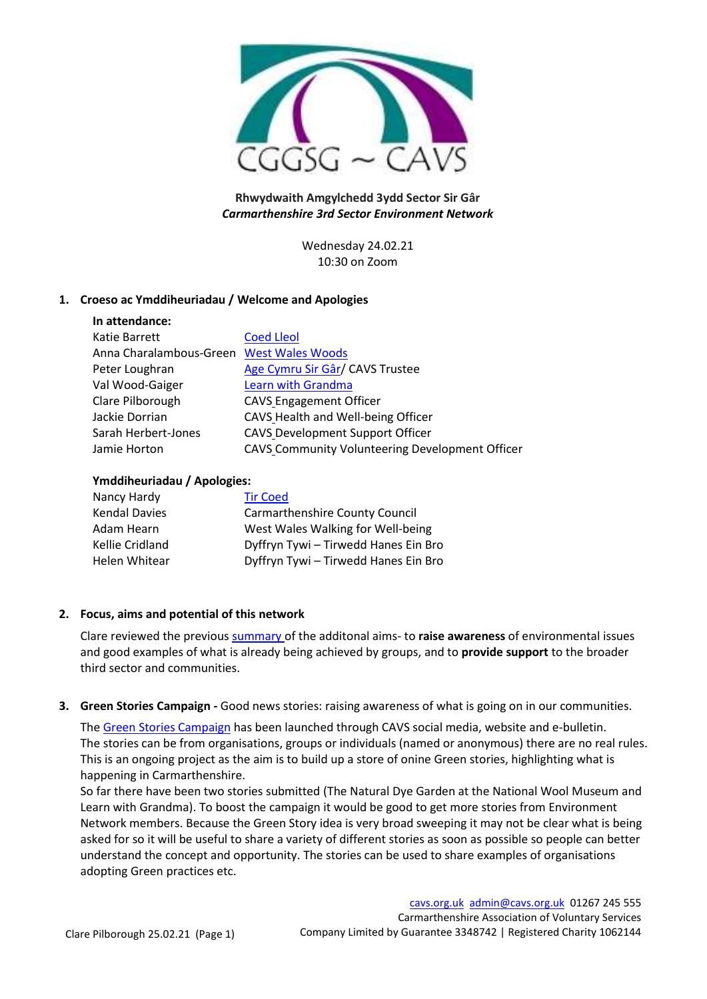

# **Rhwydwaith Amgylchedd 3ydd Sector Sir Gâr** *Carmarthenshire 3rd Sector Environment Network*

Wednesday 24.02.21 10:30 on Zoom

# **1. Croeso ac Ymddiheuriadau / Welcome and Apologies**

|  | In attendance:                                |  |
|--|-----------------------------------------------|--|
|  | $1/\sqrt{12}$ and $\sqrt{12}$ and $\sqrt{12}$ |  |

| Katie Barrett                            | <b>Coed Lleol</b>                               |
|------------------------------------------|-------------------------------------------------|
| Anna Charalambous-Green West Wales Woods |                                                 |
| Peter Loughran                           | Age Cymru Sir Gâr/ CAVS Trustee                 |
| Val Wood-Gaiger                          | <b>Learn with Grandma</b>                       |
| Clare Pilborough                         | <b>CAVS Engagement Officer</b>                  |
| Jackie Dorrian                           | CAVS Health and Well-being Officer              |
| Sarah Herbert-Jones                      | <b>CAVS Development Support Officer</b>         |
| Jamie Horton                             | CAVS Community Volunteering Development Officer |

### **Ymddiheuriadau / Apologies:**

| Nancy Hardy          | <b>Tir Coed</b>                      |
|----------------------|--------------------------------------|
| <b>Kendal Davies</b> | Carmarthenshire County Council       |
| Adam Hearn           | West Wales Walking for Well-being    |
| Kellie Cridland      | Dyffryn Tywi - Tirwedd Hanes Ein Bro |
| Helen Whitear        | Dyffryn Tywi - Tirwedd Hanes Ein Bro |

# **2. Focus, aims and potential of this network**

Clare reviewed the previous [summary](http://www.cavs.org.uk/wp-content/uploads/2020/11/Environment-network-focus-and-aims.pdf) of the additonal aims- to **raise awareness** of environmental issues and good examples of what is already being achieved by groups, and to **provide support** to the broader third sector and communities.

### **3. Green Stories Campaign -** Good news stories: raising awareness of what is going on in our communities.

Th[e Green Stories Campaign](http://www.cavs.org.uk/green-stories/) has been launched through CAVS social media, website and e-bulletin. The stories can be from organisations, groups or individuals (named or anonymous) there are no real rules. This is an ongoing project as the aim is to build up a store of onine Green stories, highlighting what is happening in Carmarthenshire.

So far there have been two stories submitted (The Natural Dye Garden at the National Wool Museum and Learn with Grandma). To boost the campaign it would be good to get more stories from Environment Network members. Because the Green Story idea is very broad sweeping it may not be clear what is being asked for so it will be useful to share a variety of different stories as soon as possible so people can better understand the concept and opportunity. The stories can be used to share examples of organisations adopting Green practices etc.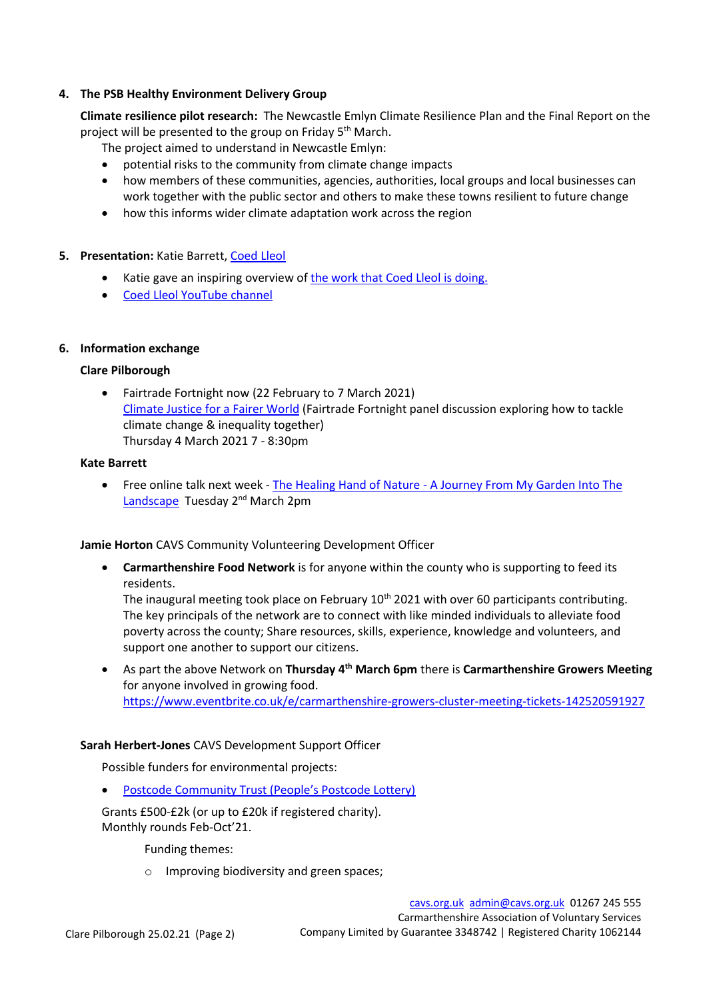## **4. The PSB Healthy Environment Delivery Group**

**Climate resilience pilot research:** The Newcastle Emlyn Climate Resilience Plan and the Final Report on the project will be presented to the group on Friday 5<sup>th</sup> March.

The project aimed to understand in Newcastle Emlyn:

- potential risks to the community from climate change impacts
- how members of these communities, agencies, authorities, local groups and local businesses can work together with the public sector and others to make these towns resilient to future change
- how this informs wider climate adaptation work across the region

# **5. Presentation:** Katie Barrett, [Coed Lleol](https://www.smallwoods.org.uk/en/coedlleol)

- Katie gave an inspiring overview o[f the work that Coed Lleol is doing.](http://www.cavs.org.uk/wp-content/uploads/2021/02/Coed-Lleol.pdf)
- [Coed Lleol YouTube channel](https://www.youtube.com/c/CoedLleolSmallWoodsWales/videos)

### **6. Information exchange**

# **Clare Pilborough**

• Fairtrade Fortnight now (22 February to 7 March 2021) [Climate Justice for a Fairer World](https://www.eventbrite.co.uk/e/climate-justice-for-a-fairer-world-cyfiawnder-yr-hinsawdd-am-fyd-tecach-tickets-140255069689) (Fairtrade Fortnight panel discussion exploring how to tackle climate change & inequality together) Thursday 4 March 2021 7 - 8:30pm

### **Kate Barrett**

• Free online talk next week - The Healing Hand of Nature - [A Journey From My Garden Into The](https://t.co/zyPjXbBwPT?amp=1)  [Landscape](https://t.co/zyPjXbBwPT?amp=1) Tuesday 2<sup>nd</sup> March 2pm

### **Jamie Horton** CAVS Community Volunteering Development Officer

• **Carmarthenshire Food Network** is for anyone within the county who is supporting to feed its residents.

The inaugural meeting took place on February  $10<sup>th</sup>$  2021 with over 60 participants contributing. The key principals of the network are to connect with like minded individuals to alleviate food poverty across the county; Share resources, skills, experience, knowledge and volunteers, and support one another to support our citizens.

• As part the above Network on **Thursday 4th March 6pm** there is **Carmarthenshire Growers Meeting** for anyone involved in growing food. <https://www.eventbrite.co.uk/e/carmarthenshire-growers-cluster-meeting-tickets-142520591927>

### **Sarah Herbert-Jones** CAVS Development Support Officer

Possible funders for environmental projects:

• [Postcode Community Trust \(People's Postcode Lottery\)](https://www.postcodecommunitytrust.org.uk/apply-for-a-grant/)

Grants £500-£2k (or up to £20k if registered charity). Monthly rounds Feb-Oct'21.

Funding themes:

o Improving biodiversity and green spaces;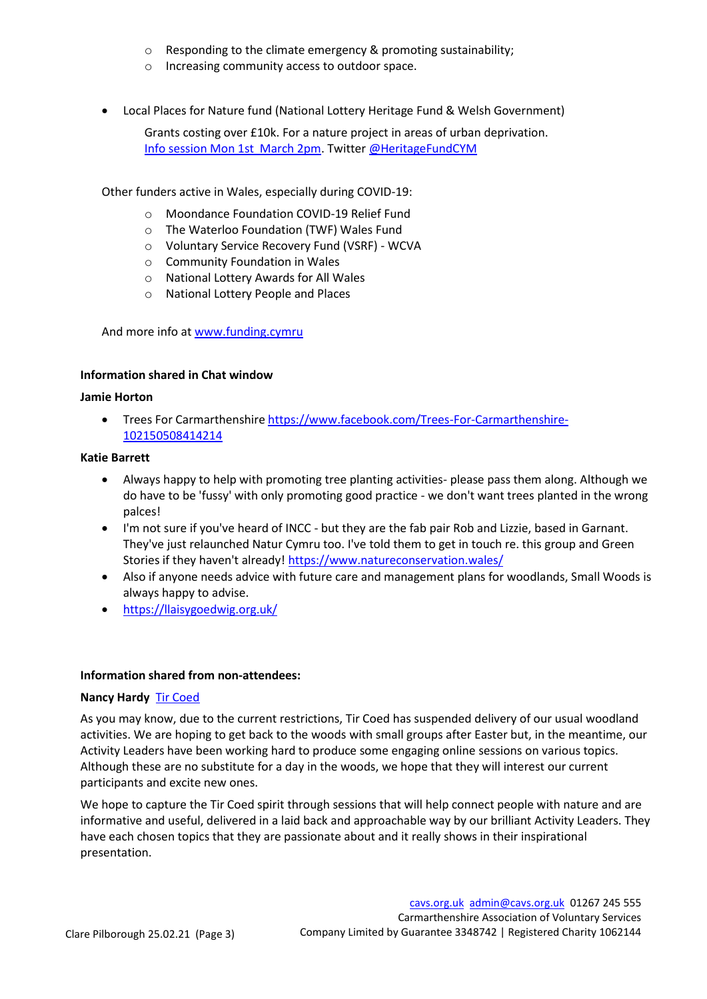- $\circ$  Responding to the climate emergency & promoting sustainability;
- o Increasing community access to outdoor space.
- Local Places for Nature fund (National Lottery Heritage Fund & Welsh Government)

Grants costing over £10k. For a nature project in areas of urban deprivation. [Info session Mon 1st March 2pm.](https://www.ticketsource.co.uk/whats-on/online/online/local-places-for-nature-new-criteria/2021-03-01/14:00/t-xlgayy) Twitte[r @HeritageFundCYM](https://twitter.com/HeritageFundCYM)

Other funders active in Wales, especially during COVID-19:

- o Moondance Foundation COVID-19 Relief Fund
- o The Waterloo Foundation (TWF) Wales Fund
- o Voluntary Service Recovery Fund (VSRF) WCVA
- o Community Foundation in Wales
- o National Lottery Awards for All Wales
- o National Lottery People and Places

And more info at [www.funding.cymru](http://www.funding.cymru/)

### **Information shared in Chat window**

#### **Jamie Horton**

Trees For Carmarthenshir[e https://www.facebook.com/Trees-For-Carmarthenshire-](https://www.facebook.com/Trees-For-Carmarthenshire-102150508414214)[102150508414214](https://www.facebook.com/Trees-For-Carmarthenshire-102150508414214)

#### **Katie Barrett**

- Always happy to help with promoting tree planting activities- please pass them along. Although we do have to be 'fussy' with only promoting good practice - we don't want trees planted in the wrong palces!
- I'm not sure if you've heard of INCC but they are the fab pair Rob and Lizzie, based in Garnant. They've just relaunched Natur Cymru too. I've told them to get in touch re. this group and Green Stories if they haven't already[! https://www.natureconservation.wales/](https://www.natureconservation.wales/)
- Also if anyone needs advice with future care and management plans for woodlands, Small Woods is always happy to advise.
- <https://llaisygoedwig.org.uk/>

### **Information shared from non-attendees:**

### **Nancy Hardy** [Tir Coed](http://tircoed.org.uk/)

As you may know, due to the current restrictions, [Tir Coed](http://tircoed.org.uk/what-we-do) has suspended delivery of our usual woodland activities. We are hoping to get back to the woods with small groups after Easter but, in the meantime, our Activity Leaders have been working hard to produce some engaging [online sessions](http://tircoed.org.uk/events?m=3#calendar) on various topics. Although these are no substitute for a day in the woods, we hope that they will interest our current participants and excite new ones.

We hope to capture the Tir Coed spirit through sessions that will help connect people with nature and are informative and useful, delivered in a laid back and approachable way by our brilliant Activity Leaders. They have each chosen topics that they are passionate about and it really shows in their inspirational presentation.